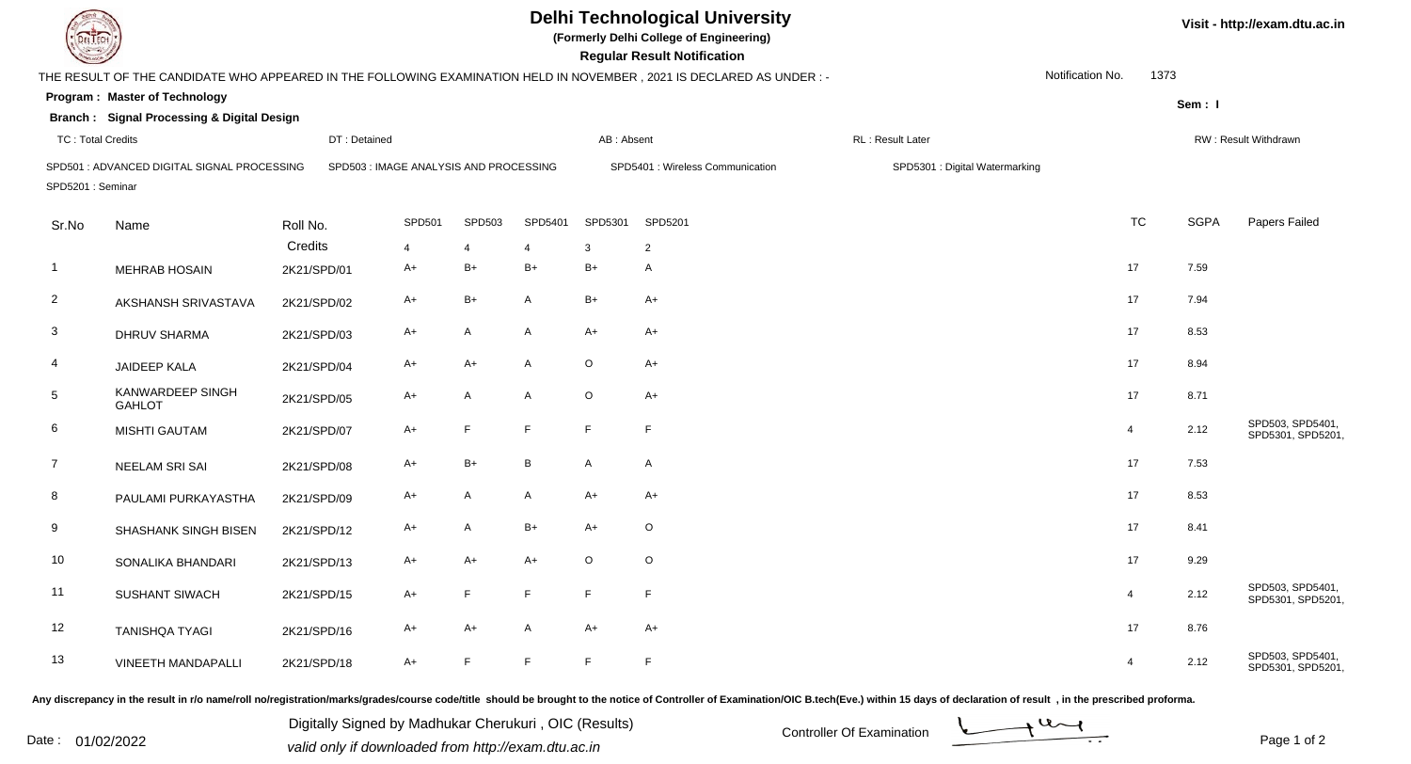| EL ECH                                   |                                                       |             |                                        |                |         | <b>Delhi Technological University</b><br>(Formerly Delhi College of Engineering)<br><b>Regular Result Notification</b> |                                                                                                                      | Visit - http://exam.dtu.ac.in  |                  |             |                                      |
|------------------------------------------|-------------------------------------------------------|-------------|----------------------------------------|----------------|---------|------------------------------------------------------------------------------------------------------------------------|----------------------------------------------------------------------------------------------------------------------|--------------------------------|------------------|-------------|--------------------------------------|
|                                          |                                                       |             |                                        |                |         |                                                                                                                        | THE RESULT OF THE CANDIDATE WHO APPEARED IN THE FOLLOWING EXAMINATION HELD IN NOVEMBER, 2021 IS DECLARED AS UNDER :- |                                | Notification No. | 1373        |                                      |
|                                          | <b>Program: Master of Technology</b>                  |             |                                        |                |         |                                                                                                                        |                                                                                                                      |                                |                  | Sem: I      |                                      |
|                                          | <b>Branch: Signal Processing &amp; Digital Design</b> |             |                                        |                |         |                                                                                                                        |                                                                                                                      |                                |                  |             |                                      |
| <b>TC: Total Credits</b><br>DT: Detained |                                                       | AB: Absent  |                                        |                |         | RL: Result Later                                                                                                       |                                                                                                                      | RW: Result Withdrawn           |                  |             |                                      |
| SPD5201: Seminar                         | SPD501: ADVANCED DIGITAL SIGNAL PROCESSING            |             | SPD503 : IMAGE ANALYSIS AND PROCESSING |                |         |                                                                                                                        | SPD5401 : Wireless Communication                                                                                     | SPD5301 : Digital Watermarking |                  |             |                                      |
| Sr.No                                    | Name                                                  | Roll No.    | <b>SPD501</b>                          | SPD503         | SPD5401 | SPD5301                                                                                                                | SPD5201                                                                                                              |                                | <b>TC</b>        | <b>SGPA</b> | Papers Failed                        |
|                                          |                                                       | Credits     | 4                                      | $\overline{4}$ | 4       | 3                                                                                                                      | $\overline{2}$                                                                                                       |                                |                  |             |                                      |
| -1                                       | <b>MEHRAB HOSAIN</b>                                  | 2K21/SPD/01 | A+                                     | B+             | B+      | $B+$                                                                                                                   | A                                                                                                                    |                                | 17               | 7.59        |                                      |
| $\mathbf{2}$                             | AKSHANSH SRIVASTAVA                                   | 2K21/SPD/02 | A+                                     | B+             | A       | $B+$                                                                                                                   | $A+$                                                                                                                 |                                | 17               | 7.94        |                                      |
| $\mathbf{3}$                             | DHRUV SHARMA                                          | 2K21/SPD/03 | A+                                     | A              | A       | $A+$                                                                                                                   | $A+$                                                                                                                 |                                | 17               | 8.53        |                                      |
| 4                                        | <b>JAIDEEP KALA</b>                                   | 2K21/SPD/04 | A+                                     | A+             | A       | $\circ$                                                                                                                | $A+$                                                                                                                 |                                | 17               | 8.94        |                                      |
| 5                                        | KANWARDEEP SINGH<br><b>GAHLOT</b>                     | 2K21/SPD/05 | A+                                     | A              | A       | $\circ$                                                                                                                | $A+$                                                                                                                 |                                | 17               | 8.71        |                                      |
| 6                                        | <b>MISHTI GAUTAM</b>                                  | 2K21/SPD/07 | A+                                     | F              | F.      | F                                                                                                                      | F.                                                                                                                   |                                | $\overline{4}$   | 2.12        | SPD503, SPD5401,<br>SPD5301, SPD5201 |
| $\overline{7}$                           | NEELAM SRI SAI                                        | 2K21/SPD/08 | A+                                     | B+             | B       | $\mathsf{A}$                                                                                                           | A                                                                                                                    |                                | 17               | 7.53        |                                      |
| 8                                        | PAULAMI PURKAYASTHA                                   | 2K21/SPD/09 | A+                                     | A              | A       | $A+$                                                                                                                   | $A+$                                                                                                                 |                                | 17               | 8.53        |                                      |
| 9                                        | SHASHANK SINGH BISEN                                  | 2K21/SPD/12 | A+                                     | A              | $B+$    | A+                                                                                                                     | $\circ$                                                                                                              |                                | 17               | 8.41        |                                      |
| 10                                       | SONALIKA BHANDARI                                     | 2K21/SPD/13 | A+                                     | A+             | A+      | $\circ$                                                                                                                | $\circ$                                                                                                              |                                | 17               | 9.29        |                                      |
| 11                                       | SUSHANT SIWACH                                        | 2K21/SPD/15 | A+                                     | $\mathsf F$    | F.      | F                                                                                                                      | F                                                                                                                    |                                | 4                | 2.12        | SPD503, SPD5401,<br>SPD5301, SPD5201 |
| 12                                       | <b>TANISHQA TYAGI</b>                                 | 2K21/SPD/16 | A+                                     | $A+$           | A       | $A+$                                                                                                                   | $A+$                                                                                                                 |                                | 17               | 8.76        |                                      |
| 13                                       | VINEETH MANDAPALLI                                    | 2K21/SPD/18 | $A+$                                   | F.             | F.      | F                                                                                                                      | F                                                                                                                    |                                | $\overline{4}$   | 2.12        | SPD503, SPD5401,<br>SPD5301, SPD5201 |

Any discrepancy in the result in r/o name/roll no/registration/marks/grades/course code/title should be brought to the notice of Controller of Examination/OIC B.tech(Eve.) within 15 days of declaration of result ,in the p

Digitally Signed by Madhukar Cherukuri, OIC (Results)<br>Date : 01/02/2022 valid only if downloaded from http://oxam.dtu.ac.in Digitally Signed by Madhukar Cherukuri , OIC (Results)valid only if downloaded from http://exam.dtu.ac.in



Page 1 of 2